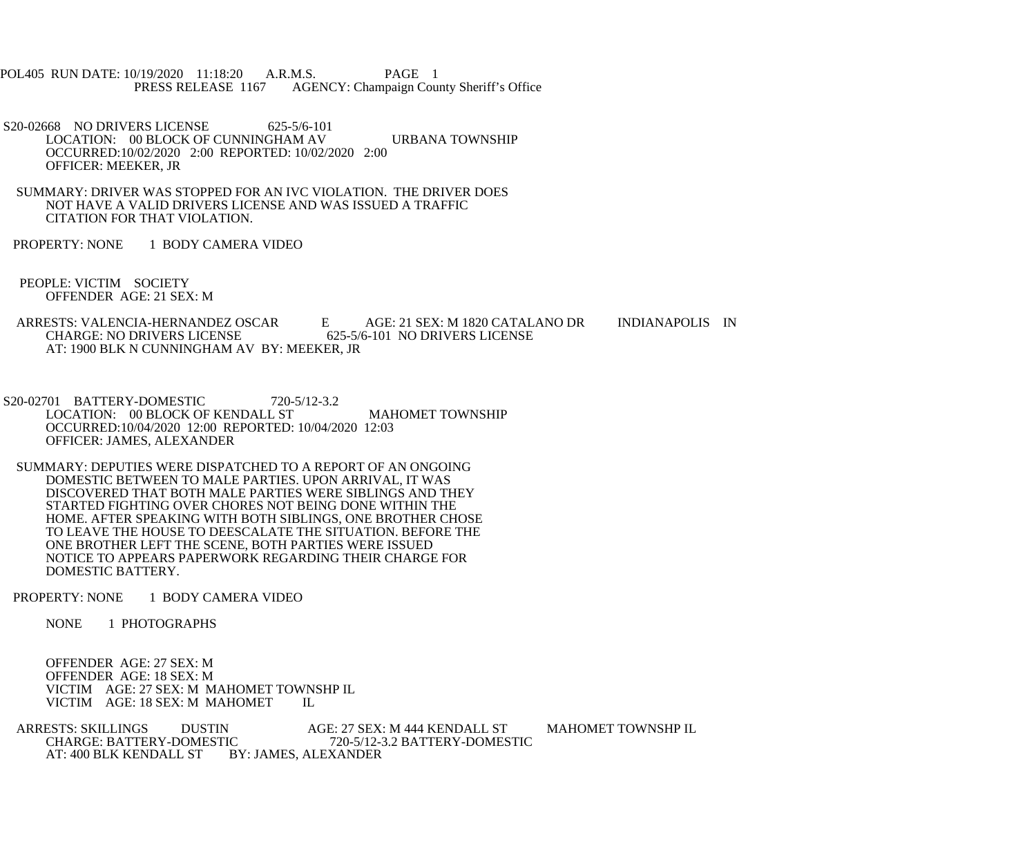POL405 RUN DATE: 10/19/2020 11:18:20 A.R.M.S. PAGE 1<br>PRESS RELEASE 1167 AGENCY: Champaign Cou AGENCY: Champaign County Sheriff's Office

S20-02668 NO DRIVERS LICENSE 625-5/6-101 LOCATION: 00 BLOCK OF CUNNINGHAM AV URBANA TOWNSHIP OCCURRED:10/02/2020 2:00 REPORTED: 10/02/2020 2:00 OFFICER: MEEKER, JR

 SUMMARY: DRIVER WAS STOPPED FOR AN IVC VIOLATION. THE DRIVER DOES NOT HAVE A VALID DRIVERS LICENSE AND WAS ISSUED A TRAFFIC CITATION FOR THAT VIOLATION.

PROPERTY: NONE 1 BODY CAMERA VIDEO

 PEOPLE: VICTIM SOCIETY OFFENDER AGE: 21 SEX: M

 ARRESTS: VALENCIA-HERNANDEZ OSCAR E AGE: 21 SEX: M 1820 CATALANO DR INDIANAPOLIS IN CHARGE: NO DRIVERS LICENSE 625-5/6-101 NO DRIVERS LICENSE AT: 1900 BLK N CUNNINGHAM AV BY: MEEKER, JR

S20-02701 BATTERY-DOMESTIC 720-5/12-3.2 LOCATION: 00 BLOCK OF KENDALL ST MAHOMET TOWNSHIP OCCURRED:10/04/2020 12:00 REPORTED: 10/04/2020 12:03 OFFICER: JAMES, ALEXANDER

 SUMMARY: DEPUTIES WERE DISPATCHED TO A REPORT OF AN ONGOING DOMESTIC BETWEEN TO MALE PARTIES. UPON ARRIVAL, IT WAS DISCOVERED THAT BOTH MALE PARTIES WERE SIBLINGS AND THEY STARTED FIGHTING OVER CHORES NOT BEING DONE WITHIN THE HOME. AFTER SPEAKING WITH BOTH SIBLINGS, ONE BROTHER CHOSE TO LEAVE THE HOUSE TO DEESCALATE THE SITUATION. BEFORE THE ONE BROTHER LEFT THE SCENE, BOTH PARTIES WERE ISSUED NOTICE TO APPEARS PAPERWORK REGARDING THEIR CHARGE FOR DOMESTIC BATTERY.

PROPERTY: NONE 1 BODY CAMERA VIDEO

NONE 1 PHOTOGRAPHS

 OFFENDER AGE: 27 SEX: M OFFENDER AGE: 18 SEX: M VICTIM AGE: 27 SEX: M MAHOMET TOWNSHP IL VICTIM AGE: 18 SEX: M MAHOMET IL

ARRESTS: SKILLINGS DUSTIN AGE: 27 SEX: M 444 KENDALL ST MAHOMET TOWNSHP IL CHARGE: BATTERY-DOMESTIC 720-5/12-3.2 BATTERY-DOMESTIC CHARGE: BATTERY-DOMESTIC 720-5/12-3.2 BATTERY-DOMESTIC<br>AT: 400 BLK KENDALL ST BY: JAMES, ALEXANDER BY: JAMES, ALEXANDER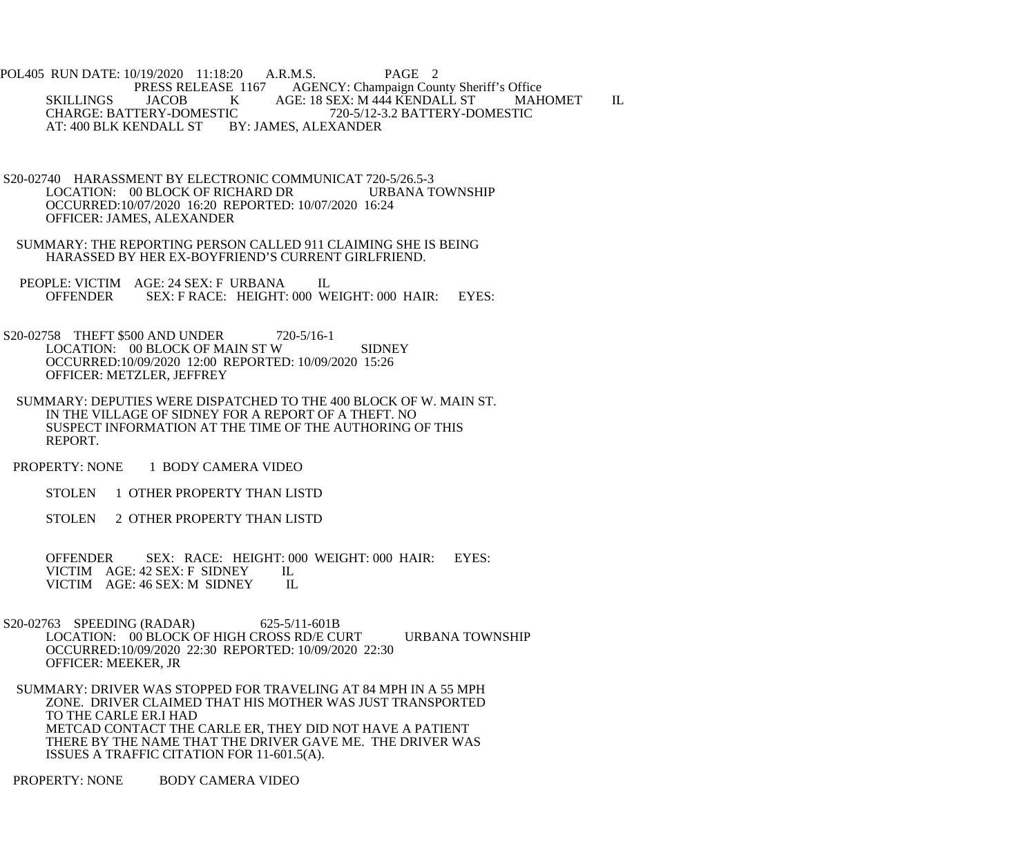POL405 RUN DATE: 10/19/2020 11:18:20 A.R.M.S. PAGE 2<br>PRESS RELEASE 1167 AGENCY: Champaign Cou E 1167 AGENCY: Champaign County Sheriff's Office<br>K AGE: 18 SEX: M 444 KENDALL ST MAH SKILLINGS JACOB K AGE: 18 SEX: M 444 KENDALL ST MAHOMET IL<br>CHARGE: BATTERY-DOMESTIC 720-5/12-3.2 BATTERY-DOMESTIC IC 720-5/12-3.2 BATTERY-DOMESTIC<br>BY: JAMES, ALEXANDER AT: 400 BLK KENDALL ST

- S20-02740 HARASSMENT BY ELECTRONIC COMMUNICAT 720-5/26.5-3<br>LOCATION: 00 BLOCK OF RICHARD DR URBANA TOWNSHIP LOCATION: 00 BLOCK OF RICHARD DR OCCURRED:10/07/2020 16:20 REPORTED: 10/07/2020 16:24 OFFICER: JAMES, ALEXANDER
- SUMMARY: THE REPORTING PERSON CALLED 911 CLAIMING SHE IS BEING HARASSED BY HER EX-BOYFRIEND'S CURRENT GIRLFRIEND.
- PEOPLE: VICTIM AGE: 24 SEX: F URBANA IL OFFENDER SEX: F RACE: HEIGHT: 000 WEIGHT: 000 HAIR: EYES:
- S20-02758 THEFT \$500 AND UNDER 720-5/16-1 LOCATION: 00 BLOCK OF MAIN ST W SIDNEY OCCURRED:10/09/2020 12:00 REPORTED: 10/09/2020 15:26 OFFICER: METZLER, JEFFREY
- SUMMARY: DEPUTIES WERE DISPATCHED TO THE 400 BLOCK OF W. MAIN ST. IN THE VILLAGE OF SIDNEY FOR A REPORT OF A THEFT. NO SUSPECT INFORMATION AT THE TIME OF THE AUTHORING OF THIS REPORT.
- PROPERTY: NONE 1 BODY CAMERA VIDEO
	- STOLEN 1 OTHER PROPERTY THAN LISTD
	- STOLEN 2 OTHER PROPERTY THAN LISTD

OFFENDER SEX: RACE: HEIGHT: 000 WEIGHT: 000 HAIR: EYES: VICTIM AGE: 42 SEX: F SIDNEY IL VICTIM AGE: 42 SEX: F SIDNEY VICTIM AGE: 46 SEX: M SIDNEY IL

- S20-02763 SPEEDING (RADAR) 625-5/11-601B LOCATION: 00 BLOCK OF HIGH CROSS RD/E CURT URBANA TOWNSHIP OCCURRED:10/09/2020 22:30 REPORTED: 10/09/2020 22:30 OFFICER: MEEKER, JR
- SUMMARY: DRIVER WAS STOPPED FOR TRAVELING AT 84 MPH IN A 55 MPH ZONE. DRIVER CLAIMED THAT HIS MOTHER WAS JUST TRANSPORTED TO THE CARLE ER.I HAD METCAD CONTACT THE CARLE ER, THEY DID NOT HAVE A PATIENT THERE BY THE NAME THAT THE DRIVER GAVE ME. THE DRIVER WAS ISSUES A TRAFFIC CITATION FOR 11-601.5(A).

PROPERTY: NONE BODY CAMERA VIDEO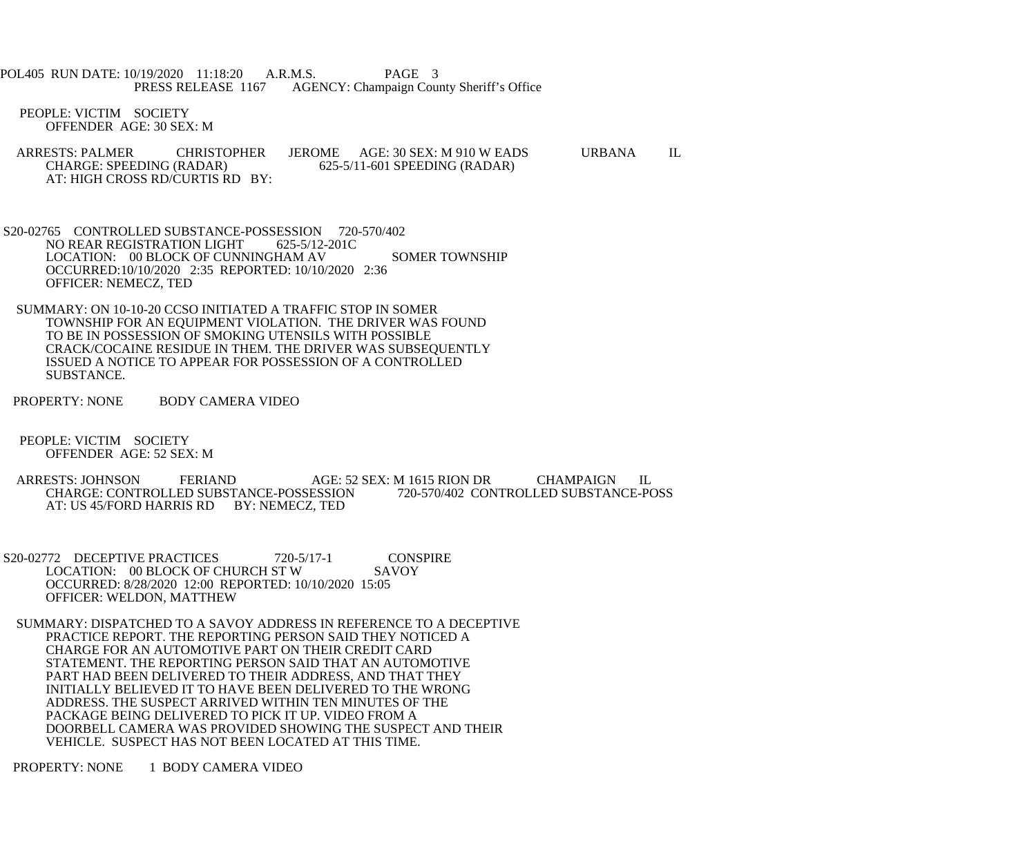POL405 RUN DATE: 10/19/2020 11:18:20 A.R.M.S. PAGE 3 PRESS RELEASE 1167 AGENCY: Champaign County Sheriff's Office

 PEOPLE: VICTIM SOCIETY OFFENDER AGE: 30 SEX: M

- ARRESTS: PALMER CHRISTOPHER JEROME AGE: 30 SEX: M 910 W EADS URBANA IL CHARGE: SPEEDING (RADAR) 625-5/11-601 SPEEDING (RADAR) 625-5/11-601 SPEEDING (RADAR) AT: HIGH CROSS RD/CURTIS RD BY:
- S20-02765 CONTROLLED SUBSTANCE-POSSESSION 720-570/402 NO REAR REGISTRATION LIGHT 625-5/12-201C LOCATION: 00 BLOCK OF CUNNINGHAM AV SOMER TOWNSHIP OCCURRED:10/10/2020 2:35 REPORTED: 10/10/2020 2:36 OFFICER: NEMECZ, TED
- SUMMARY: ON 10-10-20 CCSO INITIATED A TRAFFIC STOP IN SOMER TOWNSHIP FOR AN EQUIPMENT VIOLATION. THE DRIVER WAS FOUND TO BE IN POSSESSION OF SMOKING UTENSILS WITH POSSIBLE CRACK/COCAINE RESIDUE IN THEM. THE DRIVER WAS SUBSEQUENTLY ISSUED A NOTICE TO APPEAR FOR POSSESSION OF A CONTROLLED SUBSTANCE.
- PROPERTY: NONE BODY CAMERA VIDEO
- PEOPLE: VICTIM SOCIETY OFFENDER AGE: 52 SEX: M
- ARRESTS: JOHNSON FERIAND AGE: 52 SEX: M 1615 RION DR CHAMPAIGN IL CHARGE: CONTROLLED SUBSTANCE-POSSESSION 720-570/402 CONTROLLED SUBSTANCE-POSS CHARGE: CONTROLLED SUBSTANCE-POSSESSION AT: US 45/FORD HARRIS RD BY: NEMECZ, TED
- S20-02772 DECEPTIVE PRACTICES 720-5/17-1 CONSPIRE<br>LOCATION: 00 BLOCK OF CHURCH ST W SAVOY LOCATION: 00 BLOCK OF CHURCH ST W OCCURRED: 8/28/2020 12:00 REPORTED: 10/10/2020 15:05 OFFICER: WELDON, MATTHEW
- SUMMARY: DISPATCHED TO A SAVOY ADDRESS IN REFERENCE TO A DECEPTIVE PRACTICE REPORT. THE REPORTING PERSON SAID THEY NOTICED A CHARGE FOR AN AUTOMOTIVE PART ON THEIR CREDIT CARD STATEMENT. THE REPORTING PERSON SAID THAT AN AUTOMOTIVE PART HAD BEEN DELIVERED TO THEIR ADDRESS, AND THAT THEY INITIALLY BELIEVED IT TO HAVE BEEN DELIVERED TO THE WRONG ADDRESS. THE SUSPECT ARRIVED WITHIN TEN MINUTES OF THE PACKAGE BEING DELIVERED TO PICK IT UP. VIDEO FROM A DOORBELL CAMERA WAS PROVIDED SHOWING THE SUSPECT AND THEIR VEHICLE. SUSPECT HAS NOT BEEN LOCATED AT THIS TIME.

PROPERTY: NONE 1 BODY CAMERA VIDEO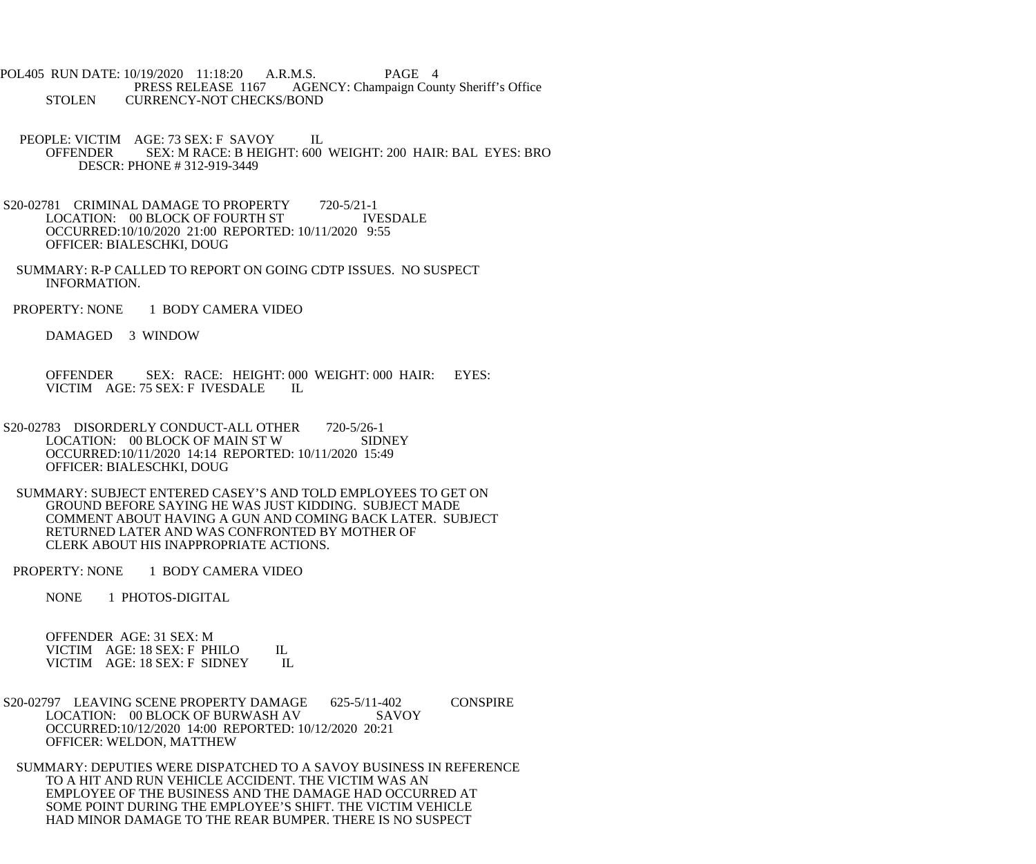POL405 RUN DATE: 10/19/2020 11:18:20 A.R.M.S. PAGE 4<br>PRESS RELEASE 1167 AGENCY: Champaign Cou AGENCY: Champaign County Sheriff's Office STOLEN CURRENCY-NOT CHECKS/BOND

- PEOPLE: VICTIM AGE: 73 SEX: F SAVOY IL OFFENDER SEX: M RACE: B HEIGHT: 600 WEIGHT: 200 HAIR: BAL EYES: BRO DESCR: PHONE # 312-919-3449
- S20-02781 CRIMINAL DAMAGE TO PROPERTY 720-5/21-1<br>LOCATION: 00 BLOCK OF FOURTH ST TVESDALE LOCATION: 00 BLOCK OF FOURTH ST OCCURRED:10/10/2020 21:00 REPORTED: 10/11/2020 9:55 OFFICER: BIALESCHKI, DOUG
- SUMMARY: R-P CALLED TO REPORT ON GOING CDTP ISSUES. NO SUSPECT INFORMATION.
- PROPERTY: NONE 1 BODY CAMERA VIDEO

DAMAGED 3 WINDOW

 OFFENDER SEX: RACE: HEIGHT: 000 WEIGHT: 000 HAIR: EYES: VICTIM AGE: 75 SEX: F IVESDALE IL

- S20-02783 DISORDERLY CONDUCT-ALL OTHER 720-5/26-1 LOCATION: 00 BLOCK OF MAIN ST W SIDNEY OCCURRED:10/11/2020 14:14 REPORTED: 10/11/2020 15:49 OFFICER: BIALESCHKI, DOUG
- SUMMARY: SUBJECT ENTERED CASEY'S AND TOLD EMPLOYEES TO GET ON GROUND BEFORE SAYING HE WAS JUST KIDDING. SUBJECT MADE COMMENT ABOUT HAVING A GUN AND COMING BACK LATER. SUBJECT RETURNED LATER AND WAS CONFRONTED BY MOTHER OF CLERK ABOUT HIS INAPPROPRIATE ACTIONS.
- PROPERTY: NONE 1 BODY CAMERA VIDEO

NONE 1 PHOTOS-DIGITAL

 OFFENDER AGE: 31 SEX: M VICTIM AGE: 18 SEX: F PHILO IL VICTIM AGE: 18 SEX: F SIDNEY IL

S20-02797 LEAVING SCENE PROPERTY DAMAGE 625-5/11-402 CONSPIRE LOCATION: 00 BLOCK OF BURWASH AV SAVOY OCCURRED:10/12/2020 14:00 REPORTED: 10/12/2020 20:21 OFFICER: WELDON, MATTHEW

 SUMMARY: DEPUTIES WERE DISPATCHED TO A SAVOY BUSINESS IN REFERENCE TO A HIT AND RUN VEHICLE ACCIDENT. THE VICTIM WAS AN EMPLOYEE OF THE BUSINESS AND THE DAMAGE HAD OCCURRED AT SOME POINT DURING THE EMPLOYEE'S SHIFT. THE VICTIM VEHICLE HAD MINOR DAMAGE TO THE REAR BUMPER. THERE IS NO SUSPECT